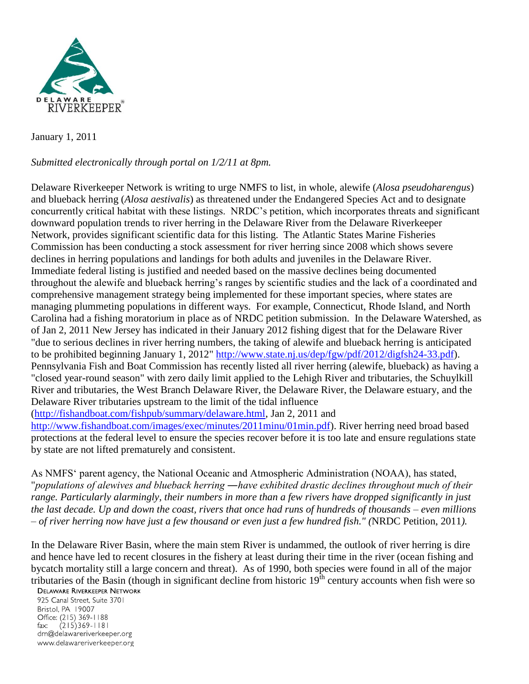

January 1, 2011

## *Submitted electronically through portal on 1/2/11 at 8pm.*

Delaware Riverkeeper Network is writing to urge NMFS to list, in whole, alewife (*Alosa pseudoharengus*) and blueback herring (*Alosa aestivalis*) as threatened under the Endangered Species Act and to designate concurrently critical habitat with these listings. NRDC's petition, which incorporates threats and significant downward population trends to river herring in the Delaware River from the Delaware Riverkeeper Network, provides significant scientific data for this listing. The Atlantic States Marine Fisheries Commission has been conducting a stock assessment for river herring since 2008 which shows severe declines in herring populations and landings for both adults and juveniles in the Delaware River. Immediate federal listing is justified and needed based on the massive declines being documented throughout the alewife and blueback herring's ranges by scientific studies and the lack of a coordinated and comprehensive management strategy being implemented for these important species, where states are managing plummeting populations in different ways. For example, Connecticut, Rhode Island, and North Carolina had a fishing moratorium in place as of NRDC petition submission. In the Delaware Watershed, as of Jan 2, 2011 New Jersey has indicated in their January 2012 fishing digest that for the Delaware River "due to serious declines in river herring numbers, the taking of alewife and blueback herring is anticipated to be prohibited beginning January 1, 2012" [http://www.state.nj.us/dep/fgw/pdf/2012/digfsh24-33.pdf\)](http://www.state.nj.us/dep/fgw/pdf/2012/digfsh24-33.pdf). Pennsylvania Fish and Boat Commission has recently listed all river herring (alewife, blueback) as having a "closed year-round season" with zero daily limit applied to the Lehigh River and tributaries, the Schuylkill River and tributaries, the West Branch Delaware River, the Delaware River, the Delaware estuary, and the Delaware River tributaries upstream to the limit of the tidal influence

[\(http://fishandboat.com/fishpub/summary/delaware.html,](http://fishandboat.com/fishpub/summary/delaware.html) Jan 2, 2011 and

[http://www.fishandboat.com/images/exec/minutes/2011minu/01min.pdf\)](http://www.fishandboat.com/images/exec/minutes/2011minu/01min.pdf). River herring need broad based protections at the federal level to ensure the species recover before it is too late and ensure regulations state by state are not lifted prematurely and consistent.

As NMFS' parent agency, the National Oceanic and Atmospheric Administration (NOAA), has stated, "*populations of alewives and blueback herring ―have exhibited drastic declines throughout much of their range. Particularly alarmingly, their numbers in more than a few rivers have dropped significantly in just the last decade. Up and down the coast, rivers that once had runs of hundreds of thousands – even millions – of river herring now have just a few thousand or even just a few hundred fish." (*NRDC Petition, 2011*).* 

In the Delaware River Basin, where the main stem River is undammed, the outlook of river herring is dire and hence have led to recent closures in the fishery at least during their time in the river (ocean fishing and bycatch mortality still a large concern and threat). As of 1990, both species were found in all of the major tributaries of the Basin (though in significant decline from historic 19th century accounts when fish were so

## **DELAWARE RIVERKEEPER NETWORK**

925 Canal Street, Suite 3701 Bristol, PA 19007 Office: (215) 369-1188 fax:  $(215)369 - 1181$ drn@delawareriverkeeper.org www.delawareriverkeeper.org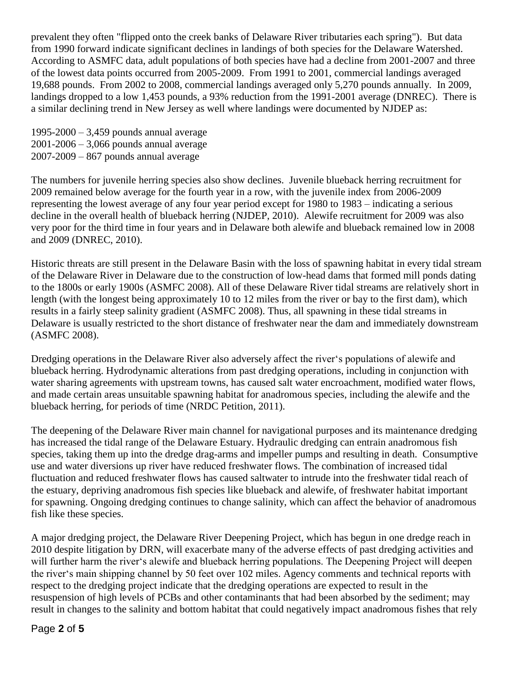prevalent they often "flipped onto the creek banks of Delaware River tributaries each spring"). But data from 1990 forward indicate significant declines in landings of both species for the Delaware Watershed. According to ASMFC data, adult populations of both species have had a decline from 2001-2007 and three of the lowest data points occurred from 2005-2009. From 1991 to 2001, commercial landings averaged 19,688 pounds. From 2002 to 2008, commercial landings averaged only 5,270 pounds annually. In 2009, landings dropped to a low 1,453 pounds, a 93% reduction from the 1991-2001 average (DNREC). There is a similar declining trend in New Jersey as well where landings were documented by NJDEP as:

1995-2000 – 3,459 pounds annual average 2001-2006 – 3,066 pounds annual average 2007-2009 – 867 pounds annual average

The numbers for juvenile herring species also show declines. Juvenile blueback herring recruitment for 2009 remained below average for the fourth year in a row, with the juvenile index from 2006-2009 representing the lowest average of any four year period except for 1980 to 1983 – indicating a serious decline in the overall health of blueback herring (NJDEP, 2010). Alewife recruitment for 2009 was also very poor for the third time in four years and in Delaware both alewife and blueback remained low in 2008 and 2009 (DNREC, 2010).

Historic threats are still present in the Delaware Basin with the loss of spawning habitat in every tidal stream of the Delaware River in Delaware due to the construction of low-head dams that formed mill ponds dating to the 1800s or early 1900s (ASMFC 2008). All of these Delaware River tidal streams are relatively short in length (with the longest being approximately 10 to 12 miles from the river or bay to the first dam), which results in a fairly steep salinity gradient (ASMFC 2008). Thus, all spawning in these tidal streams in Delaware is usually restricted to the short distance of freshwater near the dam and immediately downstream (ASMFC 2008).

Dredging operations in the Delaware River also adversely affect the river's populations of alewife and blueback herring. Hydrodynamic alterations from past dredging operations, including in conjunction with water sharing agreements with upstream towns, has caused salt water encroachment, modified water flows, and made certain areas unsuitable spawning habitat for anadromous species, including the alewife and the blueback herring, for periods of time (NRDC Petition, 2011).

The deepening of the Delaware River main channel for navigational purposes and its maintenance dredging has increased the tidal range of the Delaware Estuary. Hydraulic dredging can entrain anadromous fish species, taking them up into the dredge drag-arms and impeller pumps and resulting in death. Consumptive use and water diversions up river have reduced freshwater flows. The combination of increased tidal fluctuation and reduced freshwater flows has caused saltwater to intrude into the freshwater tidal reach of the estuary, depriving anadromous fish species like blueback and alewife, of freshwater habitat important for spawning. Ongoing dredging continues to change salinity, which can affect the behavior of anadromous fish like these species.

A major dredging project, the Delaware River Deepening Project, which has begun in one dredge reach in 2010 despite litigation by DRN, will exacerbate many of the adverse effects of past dredging activities and will further harm the river's alewife and blueback herring populations. The Deepening Project will deepen the river's main shipping channel by 50 feet over 102 miles. Agency comments and technical reports with respect to the dredging project indicate that the dredging operations are expected to result in the resuspension of high levels of PCBs and other contaminants that had been absorbed by the sediment; may result in changes to the salinity and bottom habitat that could negatively impact anadromous fishes that rely

## Page **2** of **5**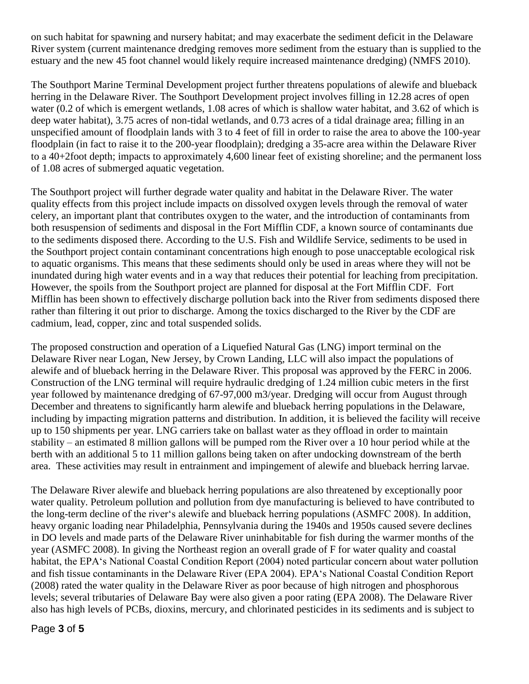on such habitat for spawning and nursery habitat; and may exacerbate the sediment deficit in the Delaware River system (current maintenance dredging removes more sediment from the estuary than is supplied to the estuary and the new 45 foot channel would likely require increased maintenance dredging) (NMFS 2010).

The Southport Marine Terminal Development project further threatens populations of alewife and blueback herring in the Delaware River. The Southport Development project involves filling in 12.28 acres of open water (0.2 of which is emergent wetlands, 1.08 acres of which is shallow water habitat, and 3.62 of which is deep water habitat), 3.75 acres of non-tidal wetlands, and 0.73 acres of a tidal drainage area; filling in an unspecified amount of floodplain lands with 3 to 4 feet of fill in order to raise the area to above the 100-year floodplain (in fact to raise it to the 200-year floodplain); dredging a 35-acre area within the Delaware River to a 40+2foot depth; impacts to approximately 4,600 linear feet of existing shoreline; and the permanent loss of 1.08 acres of submerged aquatic vegetation.

The Southport project will further degrade water quality and habitat in the Delaware River. The water quality effects from this project include impacts on dissolved oxygen levels through the removal of water celery, an important plant that contributes oxygen to the water, and the introduction of contaminants from both resuspension of sediments and disposal in the Fort Mifflin CDF, a known source of contaminants due to the sediments disposed there. According to the U.S. Fish and Wildlife Service, sediments to be used in the Southport project contain contaminant concentrations high enough to pose unacceptable ecological risk to aquatic organisms. This means that these sediments should only be used in areas where they will not be inundated during high water events and in a way that reduces their potential for leaching from precipitation. However, the spoils from the Southport project are planned for disposal at the Fort Mifflin CDF. Fort Mifflin has been shown to effectively discharge pollution back into the River from sediments disposed there rather than filtering it out prior to discharge. Among the toxics discharged to the River by the CDF are cadmium, lead, copper, zinc and total suspended solids.

The proposed construction and operation of a Liquefied Natural Gas (LNG) import terminal on the Delaware River near Logan, New Jersey, by Crown Landing, LLC will also impact the populations of alewife and of blueback herring in the Delaware River. This proposal was approved by the FERC in 2006. Construction of the LNG terminal will require hydraulic dredging of 1.24 million cubic meters in the first year followed by maintenance dredging of 67-97,000 m3/year. Dredging will occur from August through December and threatens to significantly harm alewife and blueback herring populations in the Delaware, including by impacting migration patterns and distribution. In addition, it is believed the facility will receive up to 150 shipments per year. LNG carriers take on ballast water as they offload in order to maintain stability – an estimated 8 million gallons will be pumped rom the River over a 10 hour period while at the berth with an additional 5 to 11 million gallons being taken on after undocking downstream of the berth area. These activities may result in entrainment and impingement of alewife and blueback herring larvae.

The Delaware River alewife and blueback herring populations are also threatened by exceptionally poor water quality. Petroleum pollution and pollution from dye manufacturing is believed to have contributed to the long-term decline of the river's alewife and blueback herring populations (ASMFC 2008). In addition, heavy organic loading near Philadelphia, Pennsylvania during the 1940s and 1950s caused severe declines in DO levels and made parts of the Delaware River uninhabitable for fish during the warmer months of the year (ASMFC 2008). In giving the Northeast region an overall grade of F for water quality and coastal habitat, the EPA's National Coastal Condition Report (2004) noted particular concern about water pollution and fish tissue contaminants in the Delaware River (EPA 2004). EPA's National Coastal Condition Report (2008) rated the water quality in the Delaware River as poor because of high nitrogen and phosphorous levels; several tributaries of Delaware Bay were also given a poor rating (EPA 2008). The Delaware River also has high levels of PCBs, dioxins, mercury, and chlorinated pesticides in its sediments and is subject to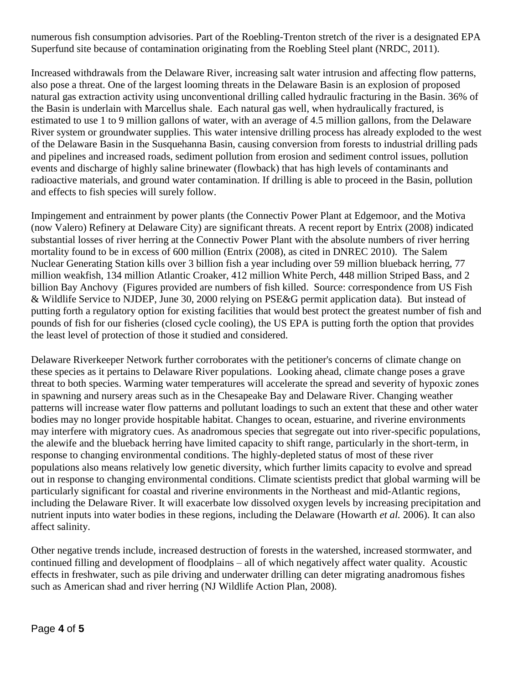numerous fish consumption advisories. Part of the Roebling-Trenton stretch of the river is a designated EPA Superfund site because of contamination originating from the Roebling Steel plant (NRDC, 2011).

Increased withdrawals from the Delaware River, increasing salt water intrusion and affecting flow patterns, also pose a threat. One of the largest looming threats in the Delaware Basin is an explosion of proposed natural gas extraction activity using unconventional drilling called hydraulic fracturing in the Basin. 36% of the Basin is underlain with Marcellus shale. Each natural gas well, when hydraulically fractured, is estimated to use 1 to 9 million gallons of water, with an average of 4.5 million gallons, from the Delaware River system or groundwater supplies. This water intensive drilling process has already exploded to the west of the Delaware Basin in the Susquehanna Basin, causing conversion from forests to industrial drilling pads and pipelines and increased roads, sediment pollution from erosion and sediment control issues, pollution events and discharge of highly saline brinewater (flowback) that has high levels of contaminants and radioactive materials, and ground water contamination. If drilling is able to proceed in the Basin, pollution and effects to fish species will surely follow.

Impingement and entrainment by power plants (the Connectiv Power Plant at Edgemoor, and the Motiva (now Valero) Refinery at Delaware City) are significant threats. A recent report by Entrix (2008) indicated substantial losses of river herring at the Connectiv Power Plant with the absolute numbers of river herring mortality found to be in excess of 600 million (Entrix (2008), as cited in DNREC 2010). The Salem Nuclear Generating Station kills over 3 billion fish a year including over 59 million blueback herring, 77 million weakfish, 134 million Atlantic Croaker, 412 million White Perch, 448 million Striped Bass, and 2 billion Bay Anchovy (Figures provided are numbers of fish killed. Source: correspondence from US Fish & Wildlife Service to NJDEP, June 30, 2000 relying on PSE&G permit application data). But instead of putting forth a regulatory option for existing facilities that would best protect the greatest number of fish and pounds of fish for our fisheries (closed cycle cooling), the US EPA is putting forth the option that provides the least level of protection of those it studied and considered.

Delaware Riverkeeper Network further corroborates with the petitioner's concerns of climate change on these species as it pertains to Delaware River populations. Looking ahead, climate change poses a grave threat to both species. Warming water temperatures will accelerate the spread and severity of hypoxic zones in spawning and nursery areas such as in the Chesapeake Bay and Delaware River. Changing weather patterns will increase water flow patterns and pollutant loadings to such an extent that these and other water bodies may no longer provide hospitable habitat. Changes to ocean, estuarine, and riverine environments may interfere with migratory cues. As anadromous species that segregate out into river-specific populations, the alewife and the blueback herring have limited capacity to shift range, particularly in the short-term, in response to changing environmental conditions. The highly-depleted status of most of these river populations also means relatively low genetic diversity, which further limits capacity to evolve and spread out in response to changing environmental conditions. Climate scientists predict that global warming will be particularly significant for coastal and riverine environments in the Northeast and mid-Atlantic regions, including the Delaware River. It will exacerbate low dissolved oxygen levels by increasing precipitation and nutrient inputs into water bodies in these regions, including the Delaware (Howarth *et al.* 2006). It can also affect salinity.

Other negative trends include, increased destruction of forests in the watershed, increased stormwater, and continued filling and development of floodplains – all of which negatively affect water quality. Acoustic effects in freshwater, such as pile driving and underwater drilling can deter migrating anadromous fishes such as American shad and river herring (NJ Wildlife Action Plan, 2008).